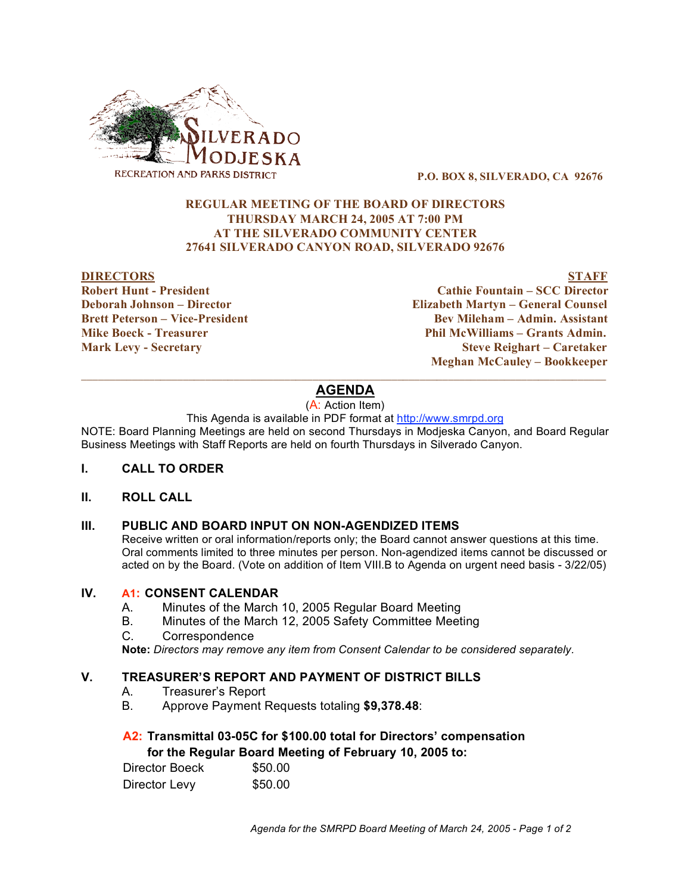

**P.O. BOX 8, SILVERADO, CA 92676**

### **REGULAR MEETING OF THE BOARD OF DIRECTORS THURSDAY MARCH 24, 2005 AT 7:00 PM AT THE SILVERADO COMMUNITY CENTER 27641 SILVERADO CANYON ROAD, SILVERADO 92676**

#### **DIRECTORS STAFF**

**Robert Hunt - President Cathie Fountain – SCC Director Deborah Johnson – Director Elizabeth Martyn – General Counsel Brett Peterson – Vice-President Bev Mileham – Admin. Assistant Mike Boeck - Treasurer Phil McWilliams – Grants Admin. Mark Levy - Secretary Steve Reighart – Caretaker Meghan McCauley – Bookkeeper**

# $\mathcal{L}_\mathcal{L} = \{ \mathcal{L}_\mathcal{L} = \{ \mathcal{L}_\mathcal{L} = \{ \mathcal{L}_\mathcal{L} = \{ \mathcal{L}_\mathcal{L} = \{ \mathcal{L}_\mathcal{L} = \{ \mathcal{L}_\mathcal{L} = \{ \mathcal{L}_\mathcal{L} = \{ \mathcal{L}_\mathcal{L} = \{ \mathcal{L}_\mathcal{L} = \{ \mathcal{L}_\mathcal{L} = \{ \mathcal{L}_\mathcal{L} = \{ \mathcal{L}_\mathcal{L} = \{ \mathcal{L}_\mathcal{L} = \{ \mathcal{L}_\mathcal{$ **AGENDA**

(A: Action Item)

### This Agenda is available in PDF format at http://www.smrpd.org

NOTE: Board Planning Meetings are held on second Thursdays in Modjeska Canyon, and Board Regular Business Meetings with Staff Reports are held on fourth Thursdays in Silverado Canyon.

### **I. CALL TO ORDER**

### **II. ROLL CALL**

### **III. PUBLIC AND BOARD INPUT ON NON-AGENDIZED ITEMS**

Receive written or oral information/reports only; the Board cannot answer questions at this time. Oral comments limited to three minutes per person. Non-agendized items cannot be discussed or acted on by the Board. (Vote on addition of Item VIII.B to Agenda on urgent need basis - 3/22/05)

### **IV. A1: CONSENT CALENDAR**

- A. Minutes of the March 10, 2005 Regular Board Meeting
- B. Minutes of the March 12, 2005 Safety Committee Meeting
- C. Correspondence

**Note:** *Directors may remove any item from Consent Calendar to be considered separately.*

### **V. TREASURER'S REPORT AND PAYMENT OF DISTRICT BILLS**

- A. Treasurer's Report
- B. Approve Payment Requests totaling **\$9,378.48**:

### **A2: Transmittal 03-05C for \$100.00 total for Directors' compensation for the Regular Board Meeting of February 10, 2005 to:**

| Director Boeck | \$50.00 |
|----------------|---------|
| Director Levy  | \$50.00 |